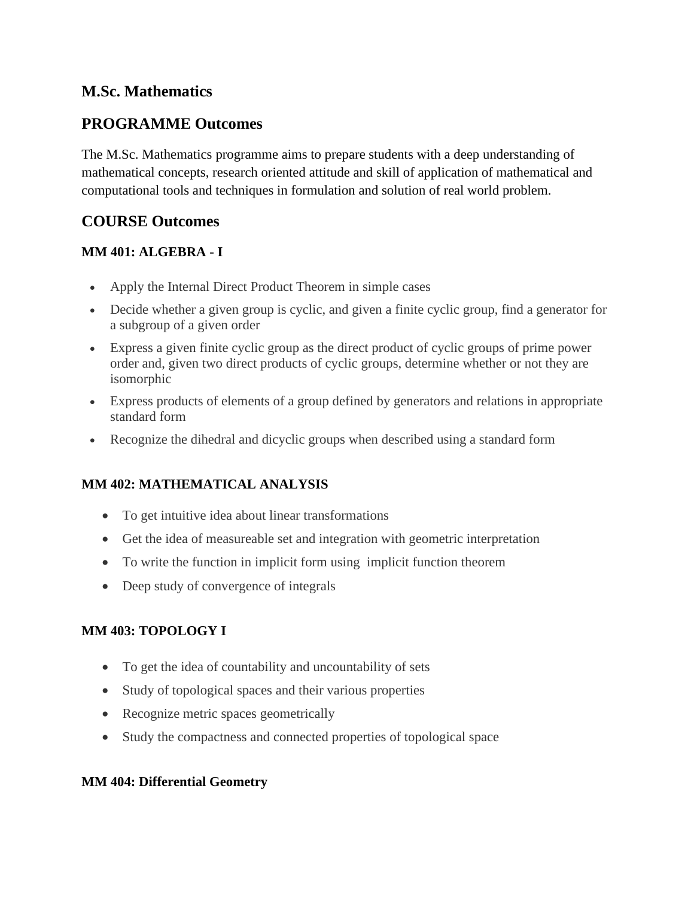## **M.Sc. Mathematics**

## **PROGRAMME Outcomes**

The M.Sc. Mathematics programme aims to prepare students with a deep understanding of mathematical concepts, research oriented attitude and skill of application of mathematical and computational tools and techniques in formulation and solution of real world problem.

# **COURSE Outcomes**

### **MM 401: ALGEBRA - I**

- Apply the Internal Direct Product Theorem in simple cases
- Decide whether a given group is cyclic, and given a finite cyclic group, find a generator for a subgroup of a given order
- Express a given finite cyclic group as the direct product of cyclic groups of prime power order and, given two direct products of cyclic groups, determine whether or not they are isomorphic
- Express products of elements of a group defined by generators and relations in appropriate standard form
- Recognize the dihedral and dicyclic groups when described using a standard form

## **MM 402: MATHEMATICAL ANALYSIS**

- To get intuitive idea about linear transformations
- Get the idea of measureable set and integration with geometric interpretation
- To write the function in implicit form using implicit function theorem
- Deep study of convergence of integrals

#### **MM 403: TOPOLOGY I**

- To get the idea of countability and uncountability of sets
- Study of topological spaces and their various properties
- Recognize metric spaces geometrically
- Study the compactness and connected properties of topological space

#### **MM 404: Differential Geometry**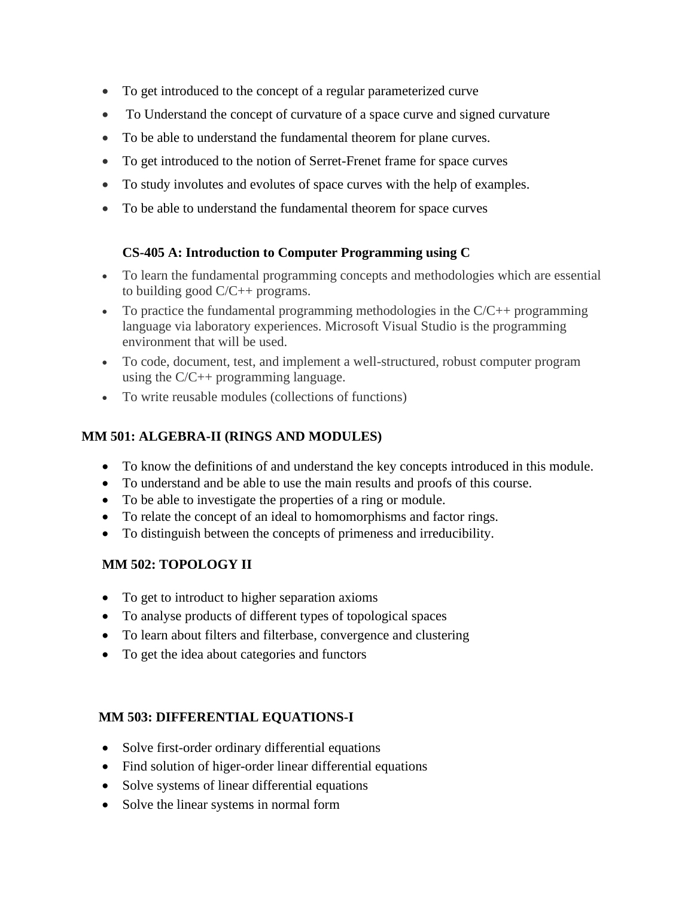- To get introduced to the concept of a regular parameterized curve
- To Understand the concept of curvature of a space curve and signed curvature
- To be able to understand the fundamental theorem for plane curves.
- To get introduced to the notion of Serret-Frenet frame for space curves
- To study involutes and evolutes of space curves with the help of examples.
- To be able to understand the fundamental theorem for space curves

### **CS-405 A: Introduction to Computer Programming using C**

- To learn the fundamental programming concepts and methodologies which are essential to building good C/C++ programs.
- To practice the fundamental programming methodologies in the  $C/C++$  programming language via laboratory experiences. Microsoft Visual Studio is the programming environment that will be used.
- To code, document, test, and implement a well-structured, robust computer program using the C/C++ programming language.
- To write reusable modules (collections of functions)

### **MM 501: ALGEBRA-II (RINGS AND MODULES)**

- To know the definitions of and understand the key concepts introduced in this module.
- To understand and be able to use the main results and proofs of this course.
- To be able to investigate the properties of a ring or module.
- To relate the concept of an ideal to homomorphisms and factor rings.
- To distinguish between the concepts of primeness and irreducibility.

## **MM 502: TOPOLOGY II**

- To get to introduct to higher separation axioms
- To analyse products of different types of topological spaces
- To learn about filters and filterbase, convergence and clustering
- To get the idea about categories and functors

#### **MM 503: DIFFERENTIAL EQUATIONS-I**

- Solve first-order ordinary differential equations
- Find solution of higer-order linear differential equations
- Solve systems of linear differential equations
- Solve the linear systems in normal form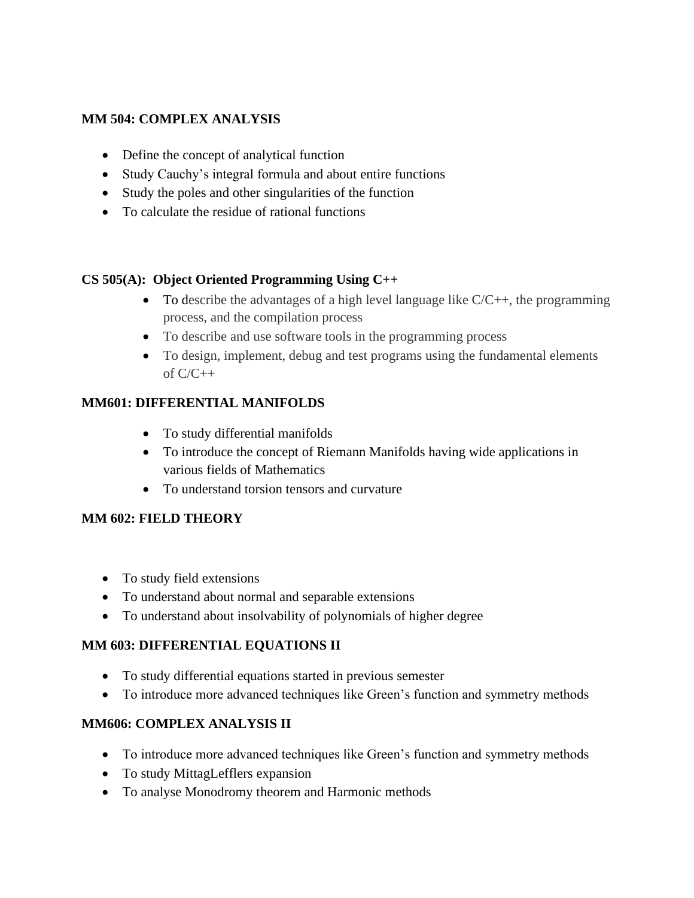### **MM 504: COMPLEX ANALYSIS**

- Define the concept of analytical function
- Study Cauchy's integral formula and about entire functions
- Study the poles and other singularities of the function
- To calculate the residue of rational functions

#### **CS 505(A): Object Oriented Programming Using C++**

- To describe the advantages of a high level language like  $C/C++$ , the programming process, and the compilation process
- To describe and use software tools in the programming process
- To design, implement, debug and test programs using the fundamental elements of  $C/C++$

## **MM601: DIFFERENTIAL MANIFOLDS**

- To study differential manifolds
- To introduce the concept of Riemann Manifolds having wide applications in various fields of Mathematics
- To understand torsion tensors and curvature

#### **MM 602: FIELD THEORY**

- To study field extensions
- To understand about normal and separable extensions
- To understand about insolvability of polynomials of higher degree

#### **MM 603: DIFFERENTIAL EQUATIONS II**

- To study differential equations started in previous semester
- To introduce more advanced techniques like Green's function and symmetry methods

## **MM606: COMPLEX ANALYSIS II**

- To introduce more advanced techniques like Green's function and symmetry methods
- To study MittagLefflers expansion
- To analyse Monodromy theorem and Harmonic methods